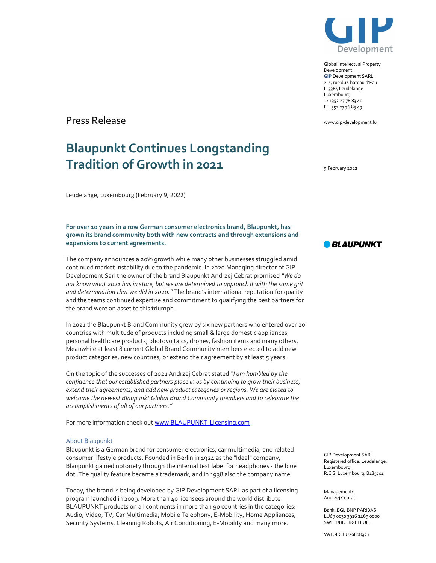

Global Intellectual Property Development GIP Development SARL 2-4, rue du Chateau d'Eau L-3364 Leudelange Luxembourg T: +352 27 76 83 40 F: +352 27 76 83 49

www.gip-development.lu

9 February 2022

Press Release

## Blaupunkt Continues Longstanding Tradition of Growth in 2021

Leudelange, Luxembourg (February 9, 2022)

For over 10 years in a row German consumer electronics brand, Blaupunkt, has grown its brand community both with new contracts and through extensions and expansions to current agreements.

The company announces a 20% growth while many other businesses struggled amid continued market instability due to the pandemic. In 2020 Managing director of GIP Development Sarl the owner of the brand Blaupunkt Andrzej Cebrat promised "We do not know what 2021 has in store, but we are determined to approach it with the same grit and determination that we did in 2020." The brand's international reputation for quality and the teams continued expertise and commitment to qualifying the best partners for the brand were an asset to this triumph.

In 2021 the Blaupunkt Brand Community grew by six new partners who entered over 20 countries with multitude of products including small & large domestic appliances, personal healthcare products, photovoltaics, drones, fashion items and many others. Meanwhile at least 8 current Global Brand Community members elected to add new product categories, new countries, or extend their agreement by at least 5 years.

On the topic of the successes of 2021 Andrzej Cebrat stated "I am humbled by the confidence that our established partners place in us by continuing to grow their business, extend their agreements, and add new product categories or regions. We are elated to welcome the newest Blaupunkt Global Brand Community members and to celebrate the accomplishments of all of our partners."

For more information check out www.BLAUPUNKT-Licensing.com

## About Blaupunkt

Blaupunkt is a German brand for consumer electronics, car multimedia, and related consumer lifestyle products. Founded in Berlin in 1924 as the "Ideal" company, Blaupunkt gained notoriety through the internal test label for headphones - the blue dot. The quality feature became a trademark, and in 1938 also the company name.

Today, the brand is being developed by GIP Development SARL as part of a licensing program launched in 2009. More than 40 licensees around the world distribute BLAUPUNKT products on all continents in more than 90 countries in the categories: Audio, Video, TV, Car Multimedia, Mobile Telephony, E-Mobility, Home Appliances, Security Systems, Cleaning Robots, Air Conditioning, E-Mobility and many more.

**BLAUPUNKT** 

GIP Development SARL Registered office: Leudelange, Luxembourg R.C.S. Luxembourg: B185701

Management: Andrzej Cebrat

Bank: BGL BNP PARIBAS LU69 0030 3916 2469 0000 SWIFT/BIC: BGLLLULL

VAT.-ID: LU26808921